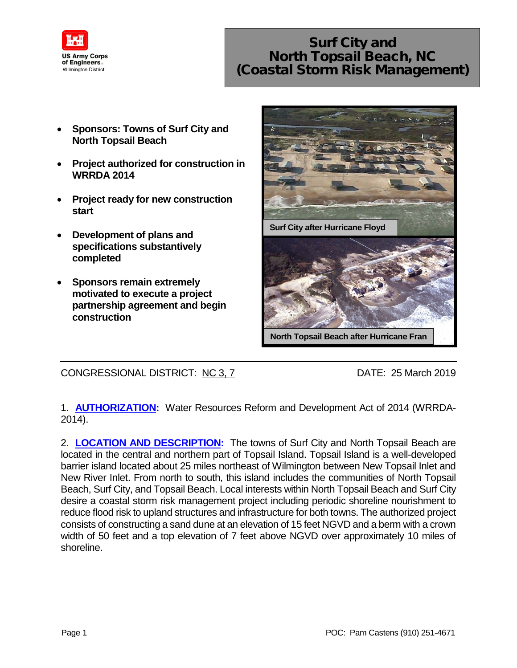

## Surf City and North Topsail Beach, NC (Coastal Storm Risk Management)

- **Sponsors: Towns of Surf City and North Topsail Beach**
- **Project authorized for construction in WRRDA 2014**
- **Project ready for new construction start**
- **Development of plans and specifications substantively completed**
- **Sponsors remain extremely motivated to execute a project partnership agreement and begin construction**



CONGRESSIONAL DISTRICT: NC 3, 7 DATE: 25 March 2019

1. **AUTHORIZATION:** Water Resources Reform and Development Act of 2014 (WRRDA-2014).

2. **LOCATION AND DESCRIPTION:** The towns of Surf City and North Topsail Beach are located in the central and northern part of Topsail Island. Topsail Island is a well-developed barrier island located about 25 miles northeast of Wilmington between New Topsail Inlet and New River Inlet. From north to south, this island includes the communities of North Topsail Beach, Surf City, and Topsail Beach. Local interests within North Topsail Beach and Surf City desire a coastal storm risk management project including periodic shoreline nourishment to reduce flood risk to upland structures and infrastructure for both towns. The authorized project consists of constructing a sand dune at an elevation of 15 feet NGVD and a berm with a crown width of 50 feet and a top elevation of 7 feet above NGVD over approximately 10 miles of shoreline.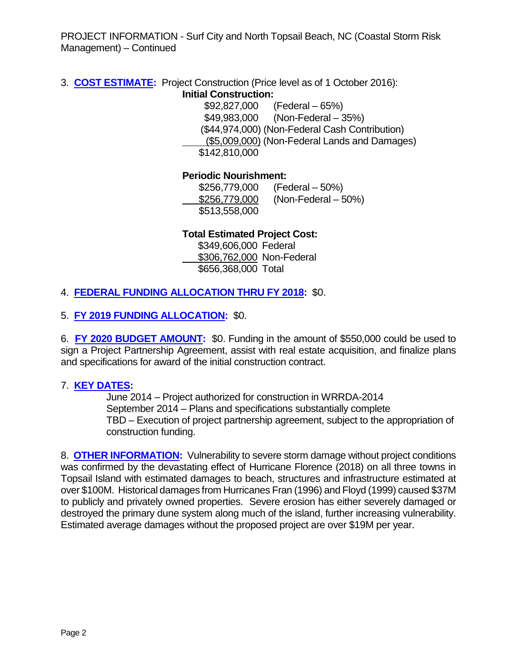PROJECT INFORMATION - Surf City and North Topsail Beach, NC (Coastal Storm Risk Management) – Continued

3. **COST ESTIMATE:** Project Construction (Price level as of 1 October 2016): **Initial Construction:**

\$92,827,000 (Federal – 65%) \$49,983,000 (Non-Federal – 35%) (\$44,974,000) (Non-Federal Cash Contribution) (\$5,009,000) (Non-Federal Lands and Damages) \$142,810,000

**Periodic Nourishment:**

| \$256,779,000 | $(Federal - 50%)$     |
|---------------|-----------------------|
| \$256,779,000 | $(Non-Federal - 50%)$ |
| \$513,558,000 |                       |

**Total Estimated Project Cost:**

 \$349,606,000 Federal \$306,762,000 Non-Federal \$656,368,000 Total

4. **FEDERAL FUNDING ALLOCATION THRU FY 2018:** \$0.

5. **FY 2019 FUNDING ALLOCATION:** \$0.

6. **FY 2020 BUDGET AMOUNT:** \$0. Funding in the amount of \$550,000 could be used to sign a Project Partnership Agreement, assist with real estate acquisition, and finalize plans and specifications for award of the initial construction contract.

## 7. **KEY DATES:**

June 2014 – Project authorized for construction in WRRDA-2014 September 2014 – Plans and specifications substantially complete TBD – Execution of project partnership agreement, subject to the appropriation of construction funding.

8. **OTHER INFORMATION:** Vulnerability to severe storm damage without project conditions was confirmed by the devastating effect of Hurricane Florence (2018) on all three towns in Topsail Island with estimated damages to beach, structures and infrastructure estimated at over \$100M. Historical damages from Hurricanes Fran (1996) and Floyd (1999) caused \$37M to publicly and privately owned properties. Severe erosion has either severely damaged or destroyed the primary dune system along much of the island, further increasing vulnerability. Estimated average damages without the proposed project are over \$19M per year.